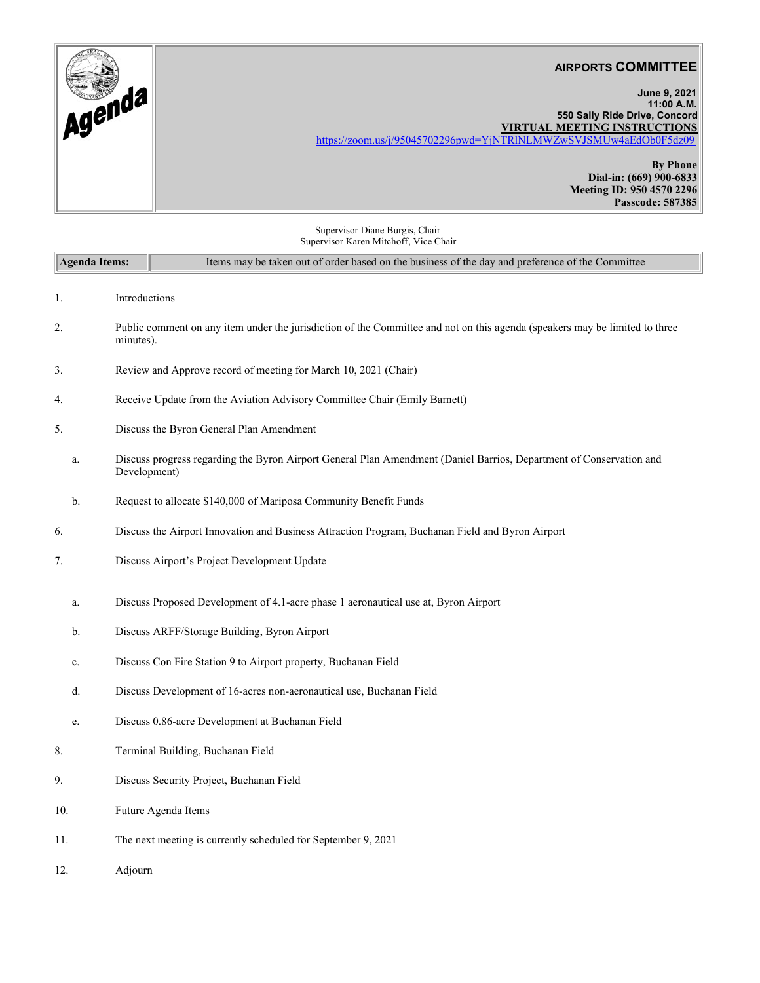|          | <b>AIRPORTS COMMITTEE</b>                                         |
|----------|-------------------------------------------------------------------|
| . Agende | June 9, 2021<br>11:00 A.M.                                        |
|          | 550 Sally Ride Drive, Concord                                     |
|          | <b>VIRTUAL MEETING INSTRUCTIONS</b>                               |
|          | https://zoom.us/j/95045702296pwd=YjNTRlNLMWZwSVJSMUw4aEdOb0F5dz09 |
|          |                                                                   |
|          | <b>By Phone</b>                                                   |
|          | Dial-in: (669) 900-6833                                           |
|          | Meeting ID: 950 4570 2296                                         |
|          | Passcode: 587385                                                  |

Supervisor Diane Burgis, Chair Supervisor Karen Mitchoff, Vice Chair

| Supervisor Karen Mitchoff, Vice Chair                                                                                                          |                                                                                                                                     |  |  |
|------------------------------------------------------------------------------------------------------------------------------------------------|-------------------------------------------------------------------------------------------------------------------------------------|--|--|
| Agenda Items:<br>Items may be taken out of order based on the business of the day and preference of the Committee                              |                                                                                                                                     |  |  |
| 1.                                                                                                                                             | Introductions                                                                                                                       |  |  |
| Public comment on any item under the jurisdiction of the Committee and not on this agenda (speakers may be limited to three<br>2.<br>minutes). |                                                                                                                                     |  |  |
| 3.                                                                                                                                             | Review and Approve record of meeting for March 10, 2021 (Chair)                                                                     |  |  |
| 4.                                                                                                                                             | Receive Update from the Aviation Advisory Committee Chair (Emily Barnett)                                                           |  |  |
| 5.                                                                                                                                             | Discuss the Byron General Plan Amendment                                                                                            |  |  |
| a.                                                                                                                                             | Discuss progress regarding the Byron Airport General Plan Amendment (Daniel Barrios, Department of Conservation and<br>Development) |  |  |
| b.                                                                                                                                             | Request to allocate \$140,000 of Mariposa Community Benefit Funds                                                                   |  |  |
| 6.                                                                                                                                             | Discuss the Airport Innovation and Business Attraction Program, Buchanan Field and Byron Airport                                    |  |  |
| 7.                                                                                                                                             | Discuss Airport's Project Development Update                                                                                        |  |  |
| a.                                                                                                                                             | Discuss Proposed Development of 4.1-acre phase 1 aeronautical use at, Byron Airport                                                 |  |  |
| b.                                                                                                                                             | Discuss ARFF/Storage Building, Byron Airport                                                                                        |  |  |
| c.                                                                                                                                             | Discuss Con Fire Station 9 to Airport property, Buchanan Field                                                                      |  |  |
| d.                                                                                                                                             | Discuss Development of 16-acres non-aeronautical use, Buchanan Field                                                                |  |  |
| e.                                                                                                                                             | Discuss 0.86-acre Development at Buchanan Field                                                                                     |  |  |
| 8.                                                                                                                                             | Terminal Building, Buchanan Field                                                                                                   |  |  |
| 9.                                                                                                                                             | Discuss Security Project, Buchanan Field                                                                                            |  |  |
| 10.                                                                                                                                            | Future Agenda Items                                                                                                                 |  |  |
| 11.                                                                                                                                            | The next meeting is currently scheduled for September 9, 2021                                                                       |  |  |
| 12.                                                                                                                                            | Adjourn                                                                                                                             |  |  |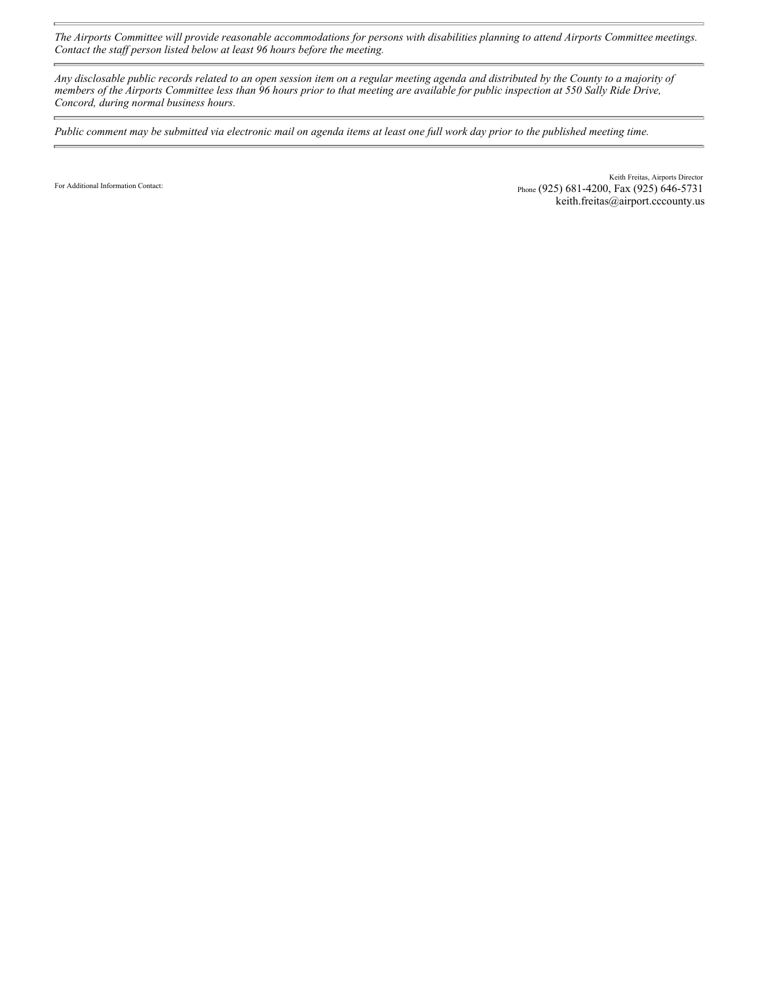*The Airports Committee will provide reasonable accommodations for persons with disabilities planning to attend Airports Committee meetings. Contact the staff person listed below at least 96 hours before the meeting.* 

*Any disclosable public records related to an open session item on a regular meeting agenda and distributed by the County to a majority of members of the Airports Committee less than 96 hours prior to that meeting are available for public inspection at 550 Sally Ride Drive, Concord, during normal business hours.* 

*Public comment may be submitted via electronic mail on agenda items at least one full work day prior to the published meeting time.*

For Additional Information Contact:

Ē.

Keith Freitas, Airports Director Phone (925) 681-4200, Fax (925) 646-5731 keith.freitas@airport.cccounty.us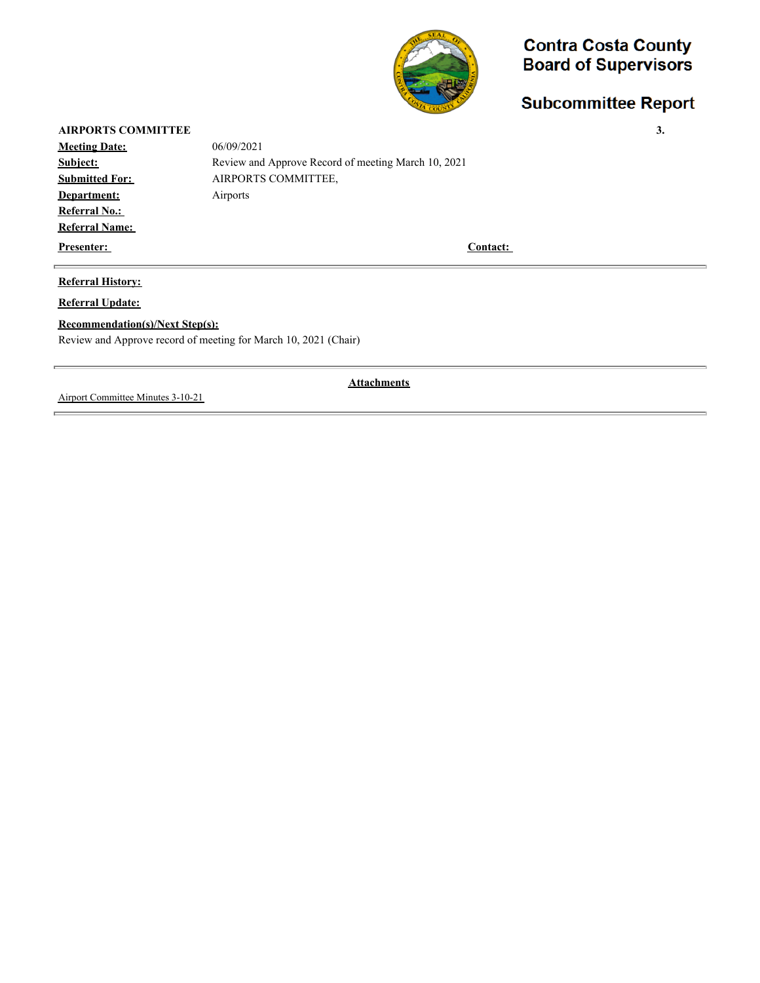

# **Subcommittee Report**

| <b>AIRPORTS COMMITTEE</b> |                                                     | 3. |
|---------------------------|-----------------------------------------------------|----|
| <b>Meeting Date:</b>      | 06/09/2021                                          |    |
| Subject:                  | Review and Approve Record of meeting March 10, 2021 |    |
| <b>Submitted For:</b>     | AIRPORTS COMMITTEE,                                 |    |
| Department:               | Airports                                            |    |
| <b>Referral No.:</b>      |                                                     |    |
| <b>Referral Name:</b>     |                                                     |    |
| <b>Presenter:</b>         | <b>Contact:</b>                                     |    |

### **Referral History:**

**Referral Update:**

#### **Recommendation(s)/Next Step(s):**

Review and Approve record of meeting for March 10, 2021 (Chair)

Airport Committee Minutes 3-10-21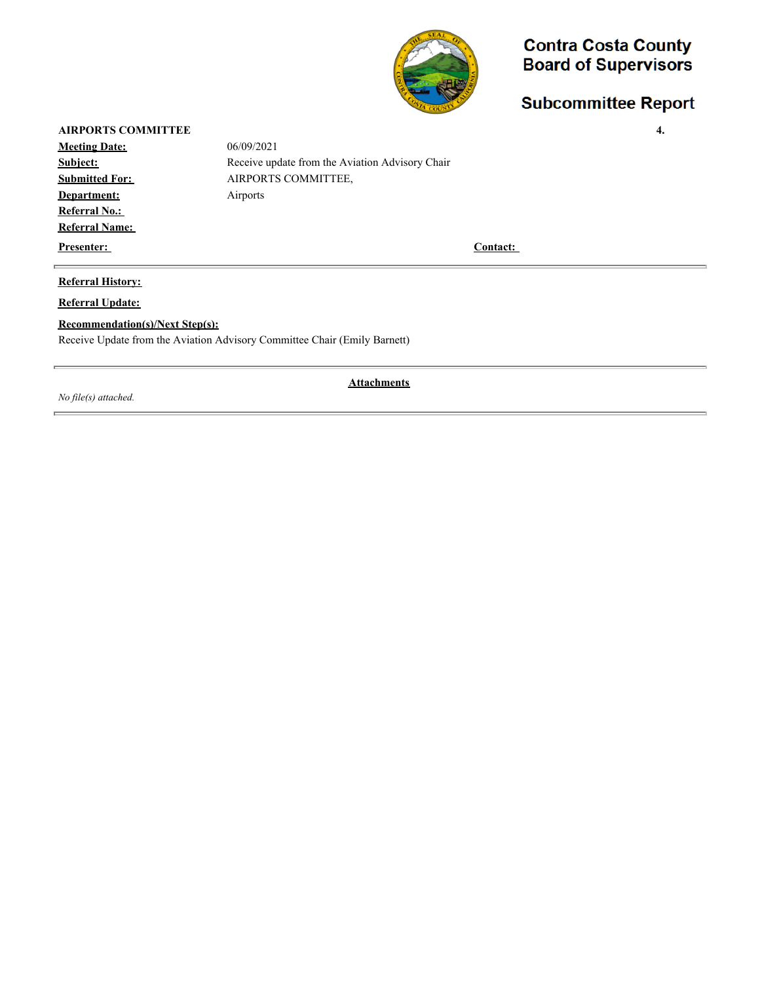

# **Subcommittee Report**

### **AIRPORTS COMMITTEE 4.**

**Meeting Date:** 06/09/2021 **Department:** Airports **Referral No.: Referral Name:** 

**Subject:** Receive update from the Aviation Advisory Chair **Submitted For: AIRPORTS COMMITTEE,** 

**Presenter:** Contact:

#### **Referral History:**

**Referral Update:**

#### **Recommendation(s)/Next Step(s):**

Receive Update from the Aviation Advisory Committee Chair (Emily Barnett)

*No file(s) attached.*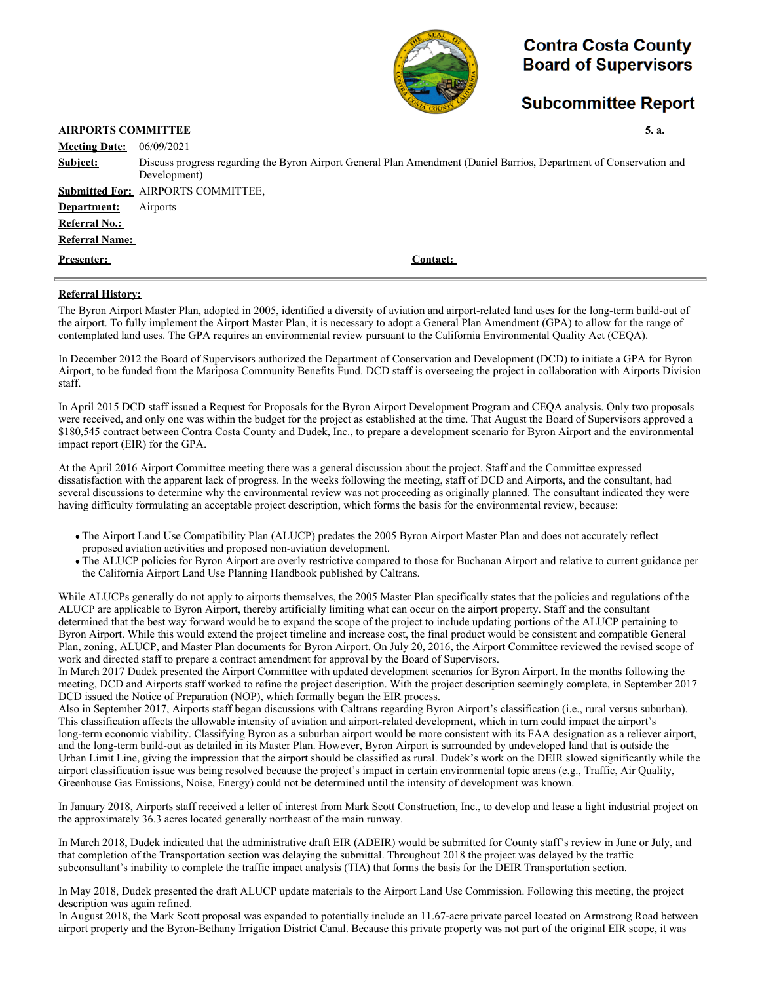

### **Subcommittee Report**

#### **AIRPORTS COMMITTEE 5. a.**

| <b>Meeting Date:</b>  | 06/09/2021                                                                                                                          |
|-----------------------|-------------------------------------------------------------------------------------------------------------------------------------|
| Subject:              | Discuss progress regarding the Byron Airport General Plan Amendment (Daniel Barrios, Department of Conservation and<br>Development) |
|                       | <b>Submitted For: AIRPORTS COMMITTEE,</b>                                                                                           |
| Department:           | Airports                                                                                                                            |
| <b>Referral No.:</b>  |                                                                                                                                     |
| <b>Referral Name:</b> |                                                                                                                                     |
| <b>Presenter:</b>     | Contact:                                                                                                                            |
|                       |                                                                                                                                     |

#### **Referral History:**

The Byron Airport Master Plan, adopted in 2005, identified a diversity of aviation and airport-related land uses for the long-term build-out of the airport. To fully implement the Airport Master Plan, it is necessary to adopt a General Plan Amendment (GPA) to allow for the range of contemplated land uses. The GPA requires an environmental review pursuant to the California Environmental Quality Act (CEQA).

In December 2012 the Board of Supervisors authorized the Department of Conservation and Development (DCD) to initiate a GPA for Byron Airport, to be funded from the Mariposa Community Benefits Fund. DCD staff is overseeing the project in collaboration with Airports Division staff.

In April 2015 DCD staff issued a Request for Proposals for the Byron Airport Development Program and CEQA analysis. Only two proposals were received, and only one was within the budget for the project as established at the time. That August the Board of Supervisors approved a \$180,545 contract between Contra Costa County and Dudek, Inc., to prepare a development scenario for Byron Airport and the environmental impact report (EIR) for the GPA.

At the April 2016 Airport Committee meeting there was a general discussion about the project. Staff and the Committee expressed dissatisfaction with the apparent lack of progress. In the weeks following the meeting, staff of DCD and Airports, and the consultant, had several discussions to determine why the environmental review was not proceeding as originally planned. The consultant indicated they were having difficulty formulating an acceptable project description, which forms the basis for the environmental review, because:

- The Airport Land Use Compatibility Plan (ALUCP) predates the 2005 Byron Airport Master Plan and does not accurately reflect proposed aviation activities and proposed non-aviation development.
- The ALUCP policies for Byron Airport are overly restrictive compared to those for Buchanan Airport and relative to current guidance per the California Airport Land Use Planning Handbook published by Caltrans.

While ALUCPs generally do not apply to airports themselves, the 2005 Master Plan specifically states that the policies and regulations of the ALUCP are applicable to Byron Airport, thereby artificially limiting what can occur on the airport property. Staff and the consultant determined that the best way forward would be to expand the scope of the project to include updating portions of the ALUCP pertaining to Byron Airport. While this would extend the project timeline and increase cost, the final product would be consistent and compatible General Plan, zoning, ALUCP, and Master Plan documents for Byron Airport. On July 20, 2016, the Airport Committee reviewed the revised scope of work and directed staff to prepare a contract amendment for approval by the Board of Supervisors.

In March 2017 Dudek presented the Airport Committee with updated development scenarios for Byron Airport. In the months following the meeting, DCD and Airports staff worked to refine the project description. With the project description seemingly complete, in September 2017 DCD issued the Notice of Preparation (NOP), which formally began the EIR process.

Also in September 2017, Airports staff began discussions with Caltrans regarding Byron Airport's classification (i.e., rural versus suburban). This classification affects the allowable intensity of aviation and airport-related development, which in turn could impact the airport's long-term economic viability. Classifying Byron as a suburban airport would be more consistent with its FAA designation as a reliever airport, and the long-term build-out as detailed in its Master Plan. However, Byron Airport is surrounded by undeveloped land that is outside the Urban Limit Line, giving the impression that the airport should be classified as rural. Dudek's work on the DEIR slowed significantly while the airport classification issue was being resolved because the project's impact in certain environmental topic areas (e.g., Traffic, Air Quality, Greenhouse Gas Emissions, Noise, Energy) could not be determined until the intensity of development was known.

In January 2018, Airports staff received a letter of interest from Mark Scott Construction, Inc., to develop and lease a light industrial project on the approximately 36.3 acres located generally northeast of the main runway.

In March 2018, Dudek indicated that the administrative draft EIR (ADEIR) would be submitted for County staff's review in June or July, and that completion of the Transportation section was delaying the submittal. Throughout 2018 the project was delayed by the traffic subconsultant's inability to complete the traffic impact analysis (TIA) that forms the basis for the DEIR Transportation section.

In May 2018, Dudek presented the draft ALUCP update materials to the Airport Land Use Commission. Following this meeting, the project description was again refined.

In August 2018, the Mark Scott proposal was expanded to potentially include an 11.67-acre private parcel located on Armstrong Road between airport property and the Byron-Bethany Irrigation District Canal. Because this private property was not part of the original EIR scope, it was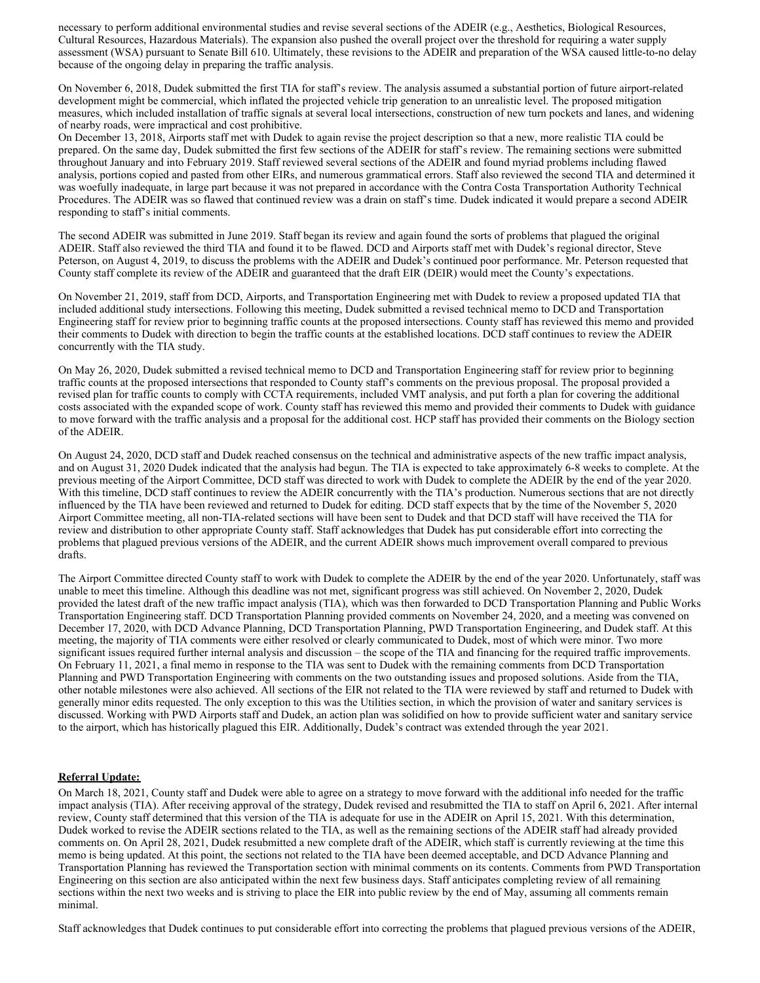necessary to perform additional environmental studies and revise several sections of the ADEIR (e.g., Aesthetics, Biological Resources, Cultural Resources, Hazardous Materials). The expansion also pushed the overall project over the threshold for requiring a water supply assessment (WSA) pursuant to Senate Bill 610. Ultimately, these revisions to the ADEIR and preparation of the WSA caused little-to-no delay because of the ongoing delay in preparing the traffic analysis.

On November 6, 2018, Dudek submitted the first TIA for staff's review. The analysis assumed a substantial portion of future airport-related development might be commercial, which inflated the projected vehicle trip generation to an unrealistic level. The proposed mitigation measures, which included installation of traffic signals at several local intersections, construction of new turn pockets and lanes, and widening of nearby roads, were impractical and cost prohibitive.

On December 13, 2018, Airports staff met with Dudek to again revise the project description so that a new, more realistic TIA could be prepared. On the same day, Dudek submitted the first few sections of the ADEIR for staff's review. The remaining sections were submitted throughout January and into February 2019. Staff reviewed several sections of the ADEIR and found myriad problems including flawed analysis, portions copied and pasted from other EIRs, and numerous grammatical errors. Staff also reviewed the second TIA and determined it was woefully inadequate, in large part because it was not prepared in accordance with the Contra Costa Transportation Authority Technical Procedures. The ADEIR was so flawed that continued review was a drain on staff's time. Dudek indicated it would prepare a second ADEIR responding to staff's initial comments.

The second ADEIR was submitted in June 2019. Staff began its review and again found the sorts of problems that plagued the original ADEIR. Staff also reviewed the third TIA and found it to be flawed. DCD and Airports staff met with Dudek's regional director, Steve Peterson, on August 4, 2019, to discuss the problems with the ADEIR and Dudek's continued poor performance. Mr. Peterson requested that County staff complete its review of the ADEIR and guaranteed that the draft EIR (DEIR) would meet the County's expectations.

On November 21, 2019, staff from DCD, Airports, and Transportation Engineering met with Dudek to review a proposed updated TIA that included additional study intersections. Following this meeting, Dudek submitted a revised technical memo to DCD and Transportation Engineering staff for review prior to beginning traffic counts at the proposed intersections. County staff has reviewed this memo and provided their comments to Dudek with direction to begin the traffic counts at the established locations. DCD staff continues to review the ADEIR concurrently with the TIA study.

On May 26, 2020, Dudek submitted a revised technical memo to DCD and Transportation Engineering staff for review prior to beginning traffic counts at the proposed intersections that responded to County staff's comments on the previous proposal. The proposal provided a revised plan for traffic counts to comply with CCTA requirements, included VMT analysis, and put forth a plan for covering the additional costs associated with the expanded scope of work. County staff has reviewed this memo and provided their comments to Dudek with guidance to move forward with the traffic analysis and a proposal for the additional cost. HCP staff has provided their comments on the Biology section of the ADEIR.

On August 24, 2020, DCD staff and Dudek reached consensus on the technical and administrative aspects of the new traffic impact analysis, and on August 31, 2020 Dudek indicated that the analysis had begun. The TIA is expected to take approximately 6-8 weeks to complete. At the previous meeting of the Airport Committee, DCD staff was directed to work with Dudek to complete the ADEIR by the end of the year 2020. With this timeline, DCD staff continues to review the ADEIR concurrently with the TIA's production. Numerous sections that are not directly influenced by the TIA have been reviewed and returned to Dudek for editing. DCD staff expects that by the time of the November 5, 2020 Airport Committee meeting, all non-TIA-related sections will have been sent to Dudek and that DCD staff will have received the TIA for review and distribution to other appropriate County staff. Staff acknowledges that Dudek has put considerable effort into correcting the problems that plagued previous versions of the ADEIR, and the current ADEIR shows much improvement overall compared to previous drafts.

The Airport Committee directed County staff to work with Dudek to complete the ADEIR by the end of the year 2020. Unfortunately, staff was unable to meet this timeline. Although this deadline was not met, significant progress was still achieved. On November 2, 2020, Dudek provided the latest draft of the new traffic impact analysis (TIA), which was then forwarded to DCD Transportation Planning and Public Works Transportation Engineering staff. DCD Transportation Planning provided comments on November 24, 2020, and a meeting was convened on December 17, 2020, with DCD Advance Planning, DCD Transportation Planning, PWD Transportation Engineering, and Dudek staff. At this meeting, the majority of TIA comments were either resolved or clearly communicated to Dudek, most of which were minor. Two more significant issues required further internal analysis and discussion – the scope of the TIA and financing for the required traffic improvements. On February 11, 2021, a final memo in response to the TIA was sent to Dudek with the remaining comments from DCD Transportation Planning and PWD Transportation Engineering with comments on the two outstanding issues and proposed solutions. Aside from the TIA, other notable milestones were also achieved. All sections of the EIR not related to the TIA were reviewed by staff and returned to Dudek with generally minor edits requested. The only exception to this was the Utilities section, in which the provision of water and sanitary services is discussed. Working with PWD Airports staff and Dudek, an action plan was solidified on how to provide sufficient water and sanitary service to the airport, which has historically plagued this EIR. Additionally, Dudek's contract was extended through the year 2021.

#### **Referral Update:**

On March 18, 2021, County staff and Dudek were able to agree on a strategy to move forward with the additional info needed for the traffic impact analysis (TIA). After receiving approval of the strategy, Dudek revised and resubmitted the TIA to staff on April 6, 2021. After internal review, County staff determined that this version of the TIA is adequate for use in the ADEIR on April 15, 2021. With this determination, Dudek worked to revise the ADEIR sections related to the TIA, as well as the remaining sections of the ADEIR staff had already provided comments on. On April 28, 2021, Dudek resubmitted a new complete draft of the ADEIR, which staff is currently reviewing at the time this memo is being updated. At this point, the sections not related to the TIA have been deemed acceptable, and DCD Advance Planning and Transportation Planning has reviewed the Transportation section with minimal comments on its contents. Comments from PWD Transportation Engineering on this section are also anticipated within the next few business days. Staff anticipates completing review of all remaining sections within the next two weeks and is striving to place the EIR into public review by the end of May, assuming all comments remain minimal.

Staff acknowledges that Dudek continues to put considerable effort into correcting the problems that plagued previous versions of the ADEIR,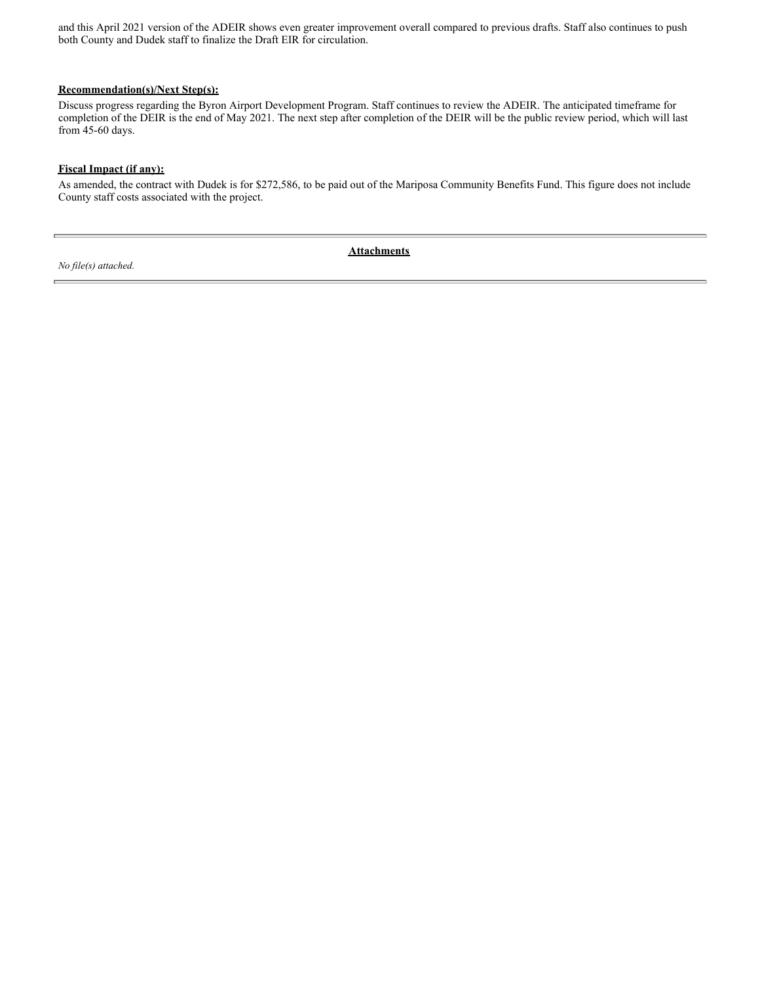and this April 2021 version of the ADEIR shows even greater improvement overall compared to previous drafts. Staff also continues to push both County and Dudek staff to finalize the Draft EIR for circulation.

#### **Recommendation(s)/Next Step(s):**

Discuss progress regarding the Byron Airport Development Program. Staff continues to review the ADEIR. The anticipated timeframe for completion of the DEIR is the end of May 2021. The next step after completion of the DEIR will be the public review period, which will last from 45-60 days.

#### **Fiscal Impact (if any):**

As amended, the contract with Dudek is for \$272,586, to be paid out of the Mariposa Community Benefits Fund. This figure does not include County staff costs associated with the project.

*No file(s) attached.*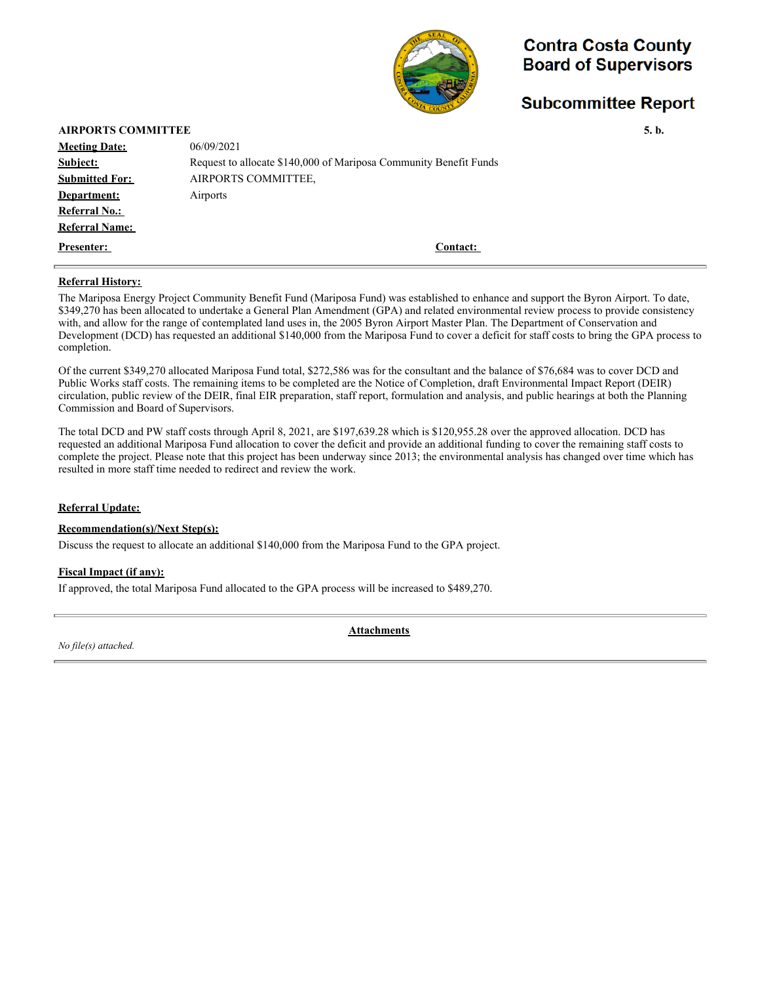

## **Subcommittee Report**

| <b>AIRPORTS COMMITTEE</b> |                                                                   | 5. b. |
|---------------------------|-------------------------------------------------------------------|-------|
| <b>Meeting Date:</b>      | 06/09/2021                                                        |       |
| Subject:                  | Request to allocate \$140,000 of Mariposa Community Benefit Funds |       |
| <b>Submitted For:</b>     | AIRPORTS COMMITTEE.                                               |       |
| Department:               | Airports                                                          |       |
| <b>Referral No.:</b>      |                                                                   |       |
| <b>Referral Name:</b>     |                                                                   |       |
| <b>Presenter:</b>         | <b>Contact:</b>                                                   |       |
|                           |                                                                   |       |

#### **Referral History:**

The Mariposa Energy Project Community Benefit Fund (Mariposa Fund) was established to enhance and support the Byron Airport. To date, \$349,270 has been allocated to undertake a General Plan Amendment (GPA) and related environmental review process to provide consistency with, and allow for the range of contemplated land uses in, the 2005 Byron Airport Master Plan. The Department of Conservation and Development (DCD) has requested an additional \$140,000 from the Mariposa Fund to cover a deficit for staff costs to bring the GPA process to completion.

Of the current \$349,270 allocated Mariposa Fund total, \$272,586 was for the consultant and the balance of \$76,684 was to cover DCD and Public Works staff costs. The remaining items to be completed are the Notice of Completion, draft Environmental Impact Report (DEIR) circulation, public review of the DEIR, final EIR preparation, staff report, formulation and analysis, and public hearings at both the Planning Commission and Board of Supervisors.

The total DCD and PW staff costs through April 8, 2021, are \$197,639.28 which is \$120,955.28 over the approved allocation. DCD has requested an additional Mariposa Fund allocation to cover the deficit and provide an additional funding to cover the remaining staff costs to complete the project. Please note that this project has been underway since 2013; the environmental analysis has changed over time which has resulted in more staff time needed to redirect and review the work.

#### **Referral Update:**

#### **Recommendation(s)/Next Step(s):**

Discuss the request to allocate an additional \$140,000 from the Mariposa Fund to the GPA project.

#### **Fiscal Impact (if any):**

If approved, the total Mariposa Fund allocated to the GPA process will be increased to \$489,270.

*No file(s) attached.*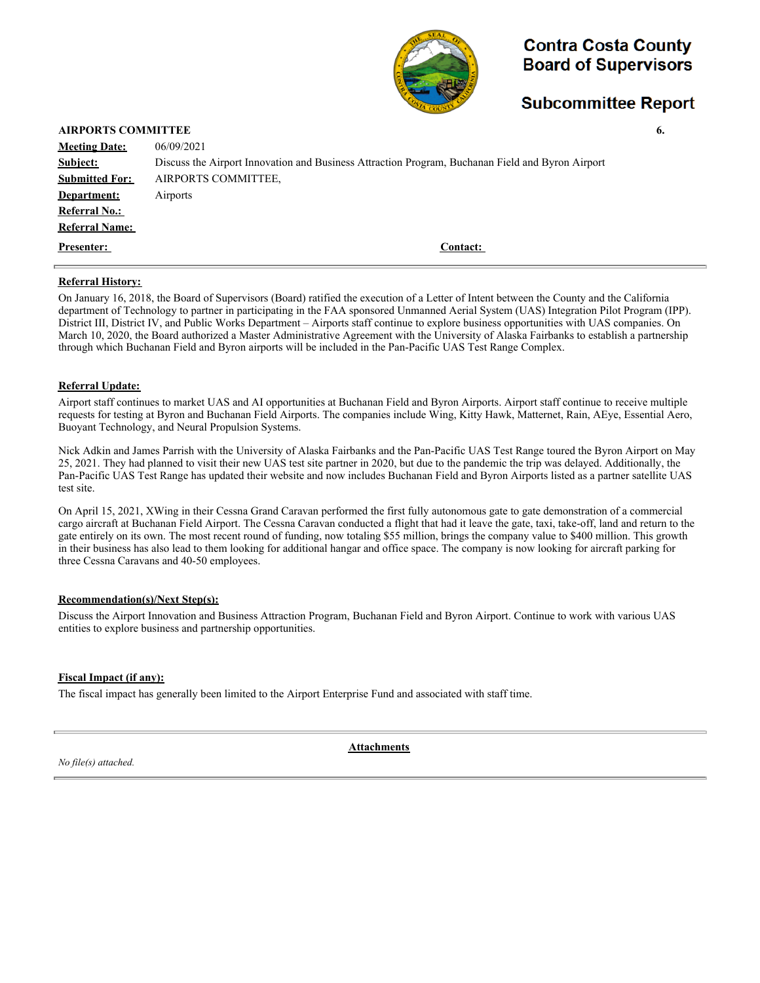

### **Subcommittee Report**

|                       | <b>AIRPORTS COMMITTEE</b><br>6.                                                                  |  |  |  |
|-----------------------|--------------------------------------------------------------------------------------------------|--|--|--|
| <b>Meeting Date:</b>  | 06/09/2021                                                                                       |  |  |  |
| Subject:              | Discuss the Airport Innovation and Business Attraction Program, Buchanan Field and Byron Airport |  |  |  |
| <b>Submitted For:</b> | AIRPORTS COMMITTEE,                                                                              |  |  |  |
| Department:           | Airports                                                                                         |  |  |  |
| <b>Referral No.:</b>  |                                                                                                  |  |  |  |
| <b>Referral Name:</b> |                                                                                                  |  |  |  |
| <b>Presenter:</b>     | Contact:                                                                                         |  |  |  |
|                       |                                                                                                  |  |  |  |

#### **Referral History:**

On January 16, 2018, the Board of Supervisors (Board) ratified the execution of a Letter of Intent between the County and the California department of Technology to partner in participating in the FAA sponsored Unmanned Aerial System (UAS) Integration Pilot Program (IPP). District III, District IV, and Public Works Department – Airports staff continue to explore business opportunities with UAS companies. On March 10, 2020, the Board authorized a Master Administrative Agreement with the University of Alaska Fairbanks to establish a partnership through which Buchanan Field and Byron airports will be included in the Pan-Pacific UAS Test Range Complex.

#### **Referral Update:**

Airport staff continues to market UAS and AI opportunities at Buchanan Field and Byron Airports. Airport staff continue to receive multiple requests for testing at Byron and Buchanan Field Airports. The companies include Wing, Kitty Hawk, Matternet, Rain, AEye, Essential Aero, Buoyant Technology, and Neural Propulsion Systems.

Nick Adkin and James Parrish with the University of Alaska Fairbanks and the Pan-Pacific UAS Test Range toured the Byron Airport on May 25, 2021. They had planned to visit their new UAS test site partner in 2020, but due to the pandemic the trip was delayed. Additionally, the Pan-Pacific UAS Test Range has updated their website and now includes Buchanan Field and Byron Airports listed as a partner satellite UAS test site.

On April 15, 2021, XWing in their Cessna Grand Caravan performed the first fully autonomous gate to gate demonstration of a commercial cargo aircraft at Buchanan Field Airport. The Cessna Caravan conducted a flight that had it leave the gate, taxi, take-off, land and return to the gate entirely on its own. The most recent round of funding, now totaling \$55 million, brings the company value to \$400 million. This growth in their business has also lead to them looking for additional hangar and office space. The company is now looking for aircraft parking for three Cessna Caravans and 40-50 employees.

#### **Recommendation(s)/Next Step(s):**

Discuss the Airport Innovation and Business Attraction Program, Buchanan Field and Byron Airport. Continue to work with various UAS entities to explore business and partnership opportunities.

#### **Fiscal Impact (if any):**

The fiscal impact has generally been limited to the Airport Enterprise Fund and associated with staff time.

*No file(s) attached.*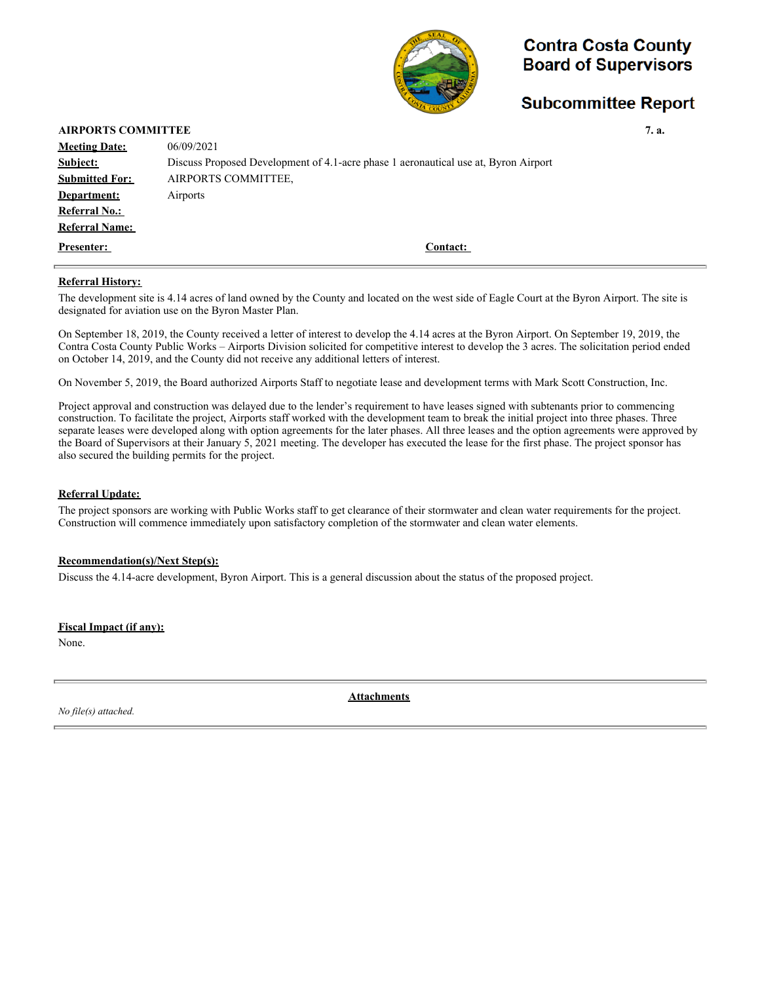

## **Subcommittee Report**

#### **AIRPORTS COMMITTEE** 7. a.

| <b>Meeting Date:</b>  | 06/09/2021                                                                          |
|-----------------------|-------------------------------------------------------------------------------------|
| Subject:              | Discuss Proposed Development of 4.1-acre phase 1 aeronautical use at, Byron Airport |
| <b>Submitted For:</b> | AIRPORTS COMMITTEE.                                                                 |
| Department:           | Airports                                                                            |
| <b>Referral No.:</b>  |                                                                                     |
| <b>Referral Name:</b> |                                                                                     |
| <b>Presenter:</b>     | <b>Contact:</b>                                                                     |

#### **Referral History:**

The development site is 4.14 acres of land owned by the County and located on the west side of Eagle Court at the Byron Airport. The site is designated for aviation use on the Byron Master Plan.

On September 18, 2019, the County received a letter of interest to develop the 4.14 acres at the Byron Airport. On September 19, 2019, the Contra Costa County Public Works – Airports Division solicited for competitive interest to develop the 3 acres. The solicitation period ended on October 14, 2019, and the County did not receive any additional letters of interest.

On November 5, 2019, the Board authorized Airports Staff to negotiate lease and development terms with Mark Scott Construction, Inc.

Project approval and construction was delayed due to the lender's requirement to have leases signed with subtenants prior to commencing construction. To facilitate the project, Airports staff worked with the development team to break the initial project into three phases. Three separate leases were developed along with option agreements for the later phases. All three leases and the option agreements were approved by the Board of Supervisors at their January 5, 2021 meeting. The developer has executed the lease for the first phase. The project sponsor has also secured the building permits for the project.

#### **Referral Update:**

The project sponsors are working with Public Works staff to get clearance of their stormwater and clean water requirements for the project. Construction will commence immediately upon satisfactory completion of the stormwater and clean water elements.

#### **Recommendation(s)/Next Step(s):**

Discuss the 4.14-acre development, Byron Airport. This is a general discussion about the status of the proposed project.

#### **Fiscal Impact (if any):**

None.

*No file(s) attached.*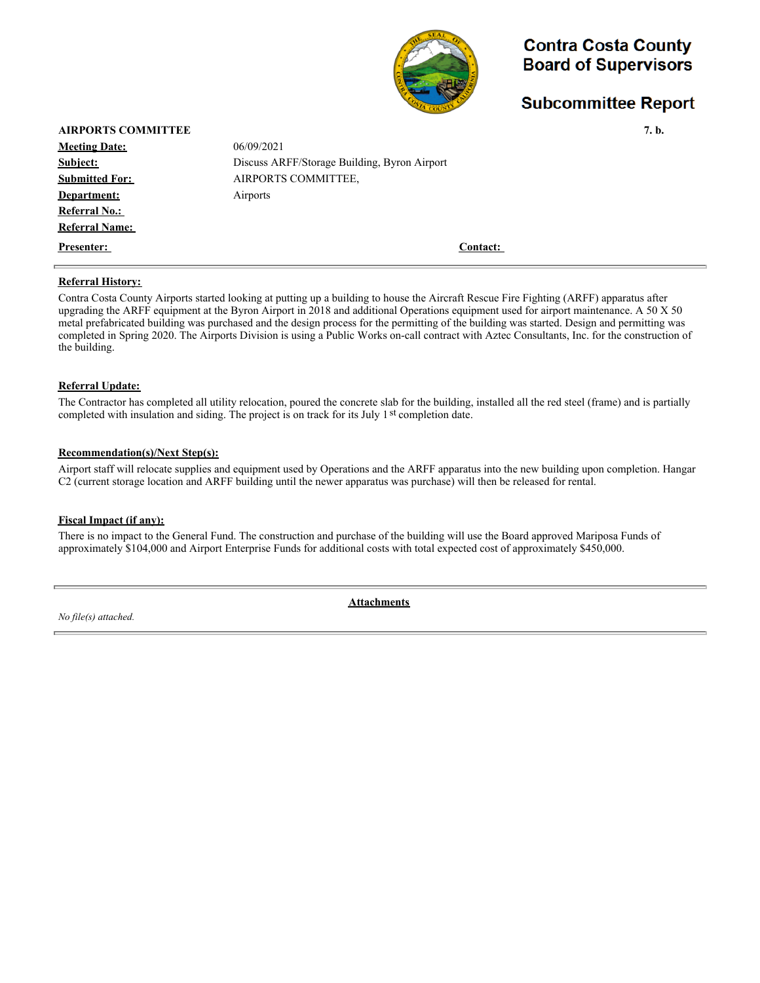

## **Subcommittee Report**

| <b>AIRPORTS COMMITTEE</b> |                                              | 7. b. |
|---------------------------|----------------------------------------------|-------|
| <b>Meeting Date:</b>      | 06/09/2021                                   |       |
| Subject:                  | Discuss ARFF/Storage Building, Byron Airport |       |
| <b>Submitted For:</b>     | AIRPORTS COMMITTEE,                          |       |
| Department:               | Airports                                     |       |
| <b>Referral No.:</b>      |                                              |       |
| <b>Referral Name:</b>     |                                              |       |
| <b>Presenter:</b>         | Contact:                                     |       |
| <b>Referral History:</b>  |                                              |       |

Contra Costa County Airports started looking at putting up a building to house the Aircraft Rescue Fire Fighting (ARFF) apparatus after upgrading the ARFF equipment at the Byron Airport in 2018 and additional Operations equipment used for airport maintenance. A 50 X 50 metal prefabricated building was purchased and the design process for the permitting of the building was started. Design and permitting was completed in Spring 2020. The Airports Division is using a Public Works on-call contract with Aztec Consultants, Inc. for the construction of the building.

#### **Referral Update:**

The Contractor has completed all utility relocation, poured the concrete slab for the building, installed all the red steel (frame) and is partially completed with insulation and siding. The project is on track for its July  $1<sup>st</sup>$  completion date.

#### **Recommendation(s)/Next Step(s):**

Airport staff will relocate supplies and equipment used by Operations and the ARFF apparatus into the new building upon completion. Hangar C2 (current storage location and ARFF building until the newer apparatus was purchase) will then be released for rental.

#### **Fiscal Impact (if any):**

There is no impact to the General Fund. The construction and purchase of the building will use the Board approved Mariposa Funds of approximately \$104,000 and Airport Enterprise Funds for additional costs with total expected cost of approximately \$450,000.

*No file(s) attached.*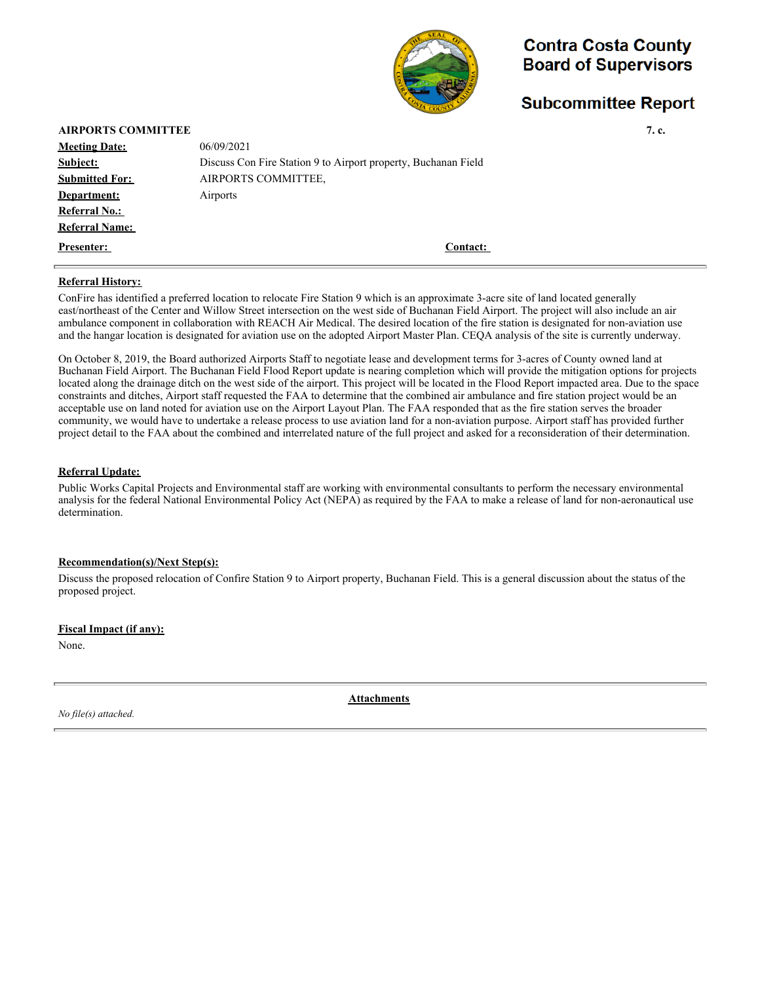

# **Subcommittee Report**

|                                                                | 7. c. |
|----------------------------------------------------------------|-------|
| 06/09/2021                                                     |       |
| Discuss Con Fire Station 9 to Airport property, Buchanan Field |       |
| AIRPORTS COMMITTEE.                                            |       |
| Airports                                                       |       |
|                                                                |       |
|                                                                |       |
| Contact:                                                       |       |
|                                                                |       |

#### **Referral History:**

ConFire has identified a preferred location to relocate Fire Station 9 which is an approximate 3-acre site of land located generally east/northeast of the Center and Willow Street intersection on the west side of Buchanan Field Airport. The project will also include an air ambulance component in collaboration with REACH Air Medical. The desired location of the fire station is designated for non-aviation use and the hangar location is designated for aviation use on the adopted Airport Master Plan. CEQA analysis of the site is currently underway.

On October 8, 2019, the Board authorized Airports Staff to negotiate lease and development terms for 3-acres of County owned land at Buchanan Field Airport. The Buchanan Field Flood Report update is nearing completion which will provide the mitigation options for projects located along the drainage ditch on the west side of the airport. This project will be located in the Flood Report impacted area. Due to the space constraints and ditches, Airport staff requested the FAA to determine that the combined air ambulance and fire station project would be an acceptable use on land noted for aviation use on the Airport Layout Plan. The FAA responded that as the fire station serves the broader community, we would have to undertake a release process to use aviation land for a non-aviation purpose. Airport staff has provided further project detail to the FAA about the combined and interrelated nature of the full project and asked for a reconsideration of their determination.

#### **Referral Update:**

Public Works Capital Projects and Environmental staff are working with environmental consultants to perform the necessary environmental analysis for the federal National Environmental Policy Act (NEPA) as required by the FAA to make a release of land for non-aeronautical use determination.

#### **Recommendation(s)/Next Step(s):**

Discuss the proposed relocation of Confire Station 9 to Airport property, Buchanan Field. This is a general discussion about the status of the proposed project.

#### **Fiscal Impact (if any):**

None.

*No file(s) attached.*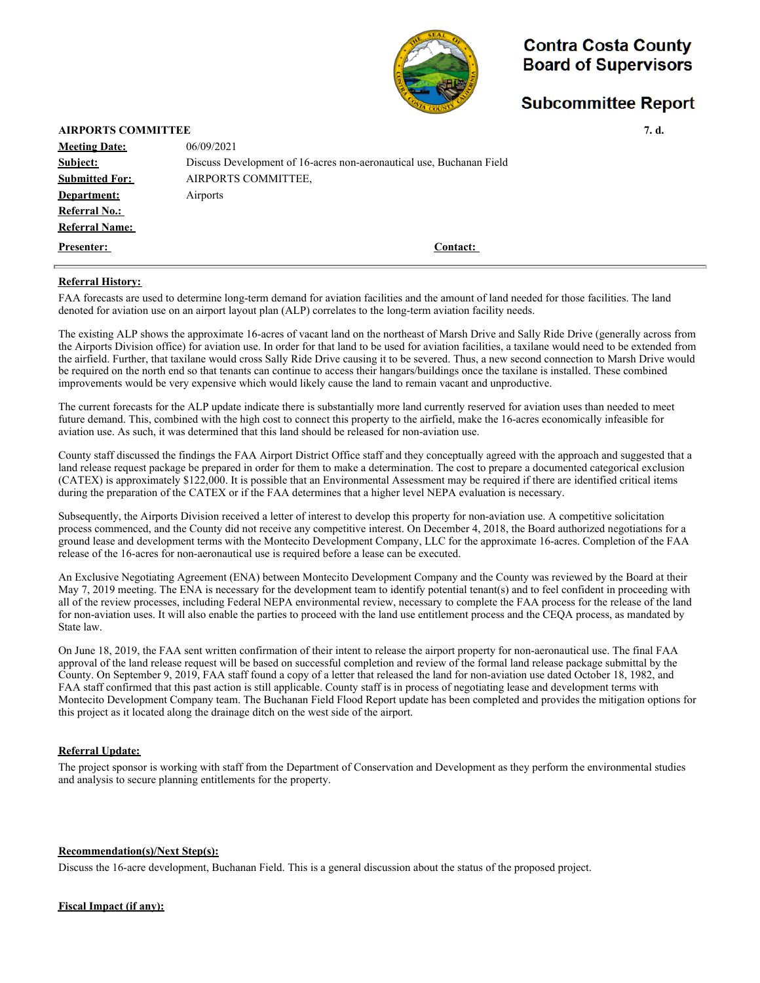

# **Subcommittee Report**

| <b>AIRPORTS COMMITTEE</b> |                                                                      | 7. d. |
|---------------------------|----------------------------------------------------------------------|-------|
| <b>Meeting Date:</b>      | 06/09/2021                                                           |       |
| Subject:                  | Discuss Development of 16-acres non-aeronautical use, Buchanan Field |       |
| <b>Submitted For:</b>     | AIRPORTS COMMITTEE,                                                  |       |
| Department:               | Airports                                                             |       |
| <b>Referral No.:</b>      |                                                                      |       |
| <b>Referral Name:</b>     |                                                                      |       |
| <b>Presenter:</b>         | <b>Contact:</b>                                                      |       |
|                           |                                                                      |       |

#### **Referral History:**

FAA forecasts are used to determine long-term demand for aviation facilities and the amount of land needed for those facilities. The land denoted for aviation use on an airport layout plan (ALP) correlates to the long-term aviation facility needs.

The existing ALP shows the approximate 16-acres of vacant land on the northeast of Marsh Drive and Sally Ride Drive (generally across from the Airports Division office) for aviation use. In order for that land to be used for aviation facilities, a taxilane would need to be extended from the airfield. Further, that taxilane would cross Sally Ride Drive causing it to be severed. Thus, a new second connection to Marsh Drive would be required on the north end so that tenants can continue to access their hangars/buildings once the taxilane is installed. These combined improvements would be very expensive which would likely cause the land to remain vacant and unproductive.

The current forecasts for the ALP update indicate there is substantially more land currently reserved for aviation uses than needed to meet future demand. This, combined with the high cost to connect this property to the airfield, make the 16-acres economically infeasible for aviation use. As such, it was determined that this land should be released for non-aviation use.

County staff discussed the findings the FAA Airport District Office staff and they conceptually agreed with the approach and suggested that a land release request package be prepared in order for them to make a determination. The cost to prepare a documented categorical exclusion (CATEX) is approximately \$122,000. It is possible that an Environmental Assessment may be required if there are identified critical items during the preparation of the CATEX or if the FAA determines that a higher level NEPA evaluation is necessary.

Subsequently, the Airports Division received a letter of interest to develop this property for non-aviation use. A competitive solicitation process commenced, and the County did not receive any competitive interest. On December 4, 2018, the Board authorized negotiations for a ground lease and development terms with the Montecito Development Company, LLC for the approximate 16-acres. Completion of the FAA release of the 16-acres for non-aeronautical use is required before a lease can be executed.

An Exclusive Negotiating Agreement (ENA) between Montecito Development Company and the County was reviewed by the Board at their May 7, 2019 meeting. The ENA is necessary for the development team to identify potential tenant(s) and to feel confident in proceeding with all of the review processes, including Federal NEPA environmental review, necessary to complete the FAA process for the release of the land for non-aviation uses. It will also enable the parties to proceed with the land use entitlement process and the CEQA process, as mandated by State law.

On June 18, 2019, the FAA sent written confirmation of their intent to release the airport property for non-aeronautical use. The final FAA approval of the land release request will be based on successful completion and review of the formal land release package submittal by the County. On September 9, 2019, FAA staff found a copy of a letter that released the land for non-aviation use dated October 18, 1982, and FAA staff confirmed that this past action is still applicable. County staff is in process of negotiating lease and development terms with Montecito Development Company team. The Buchanan Field Flood Report update has been completed and provides the mitigation options for this project as it located along the drainage ditch on the west side of the airport.

#### **Referral Update:**

The project sponsor is working with staff from the Department of Conservation and Development as they perform the environmental studies and analysis to secure planning entitlements for the property.

#### **Recommendation(s)/Next Step(s):**

Discuss the 16-acre development, Buchanan Field. This is a general discussion about the status of the proposed project.

#### **Fiscal Impact (if any):**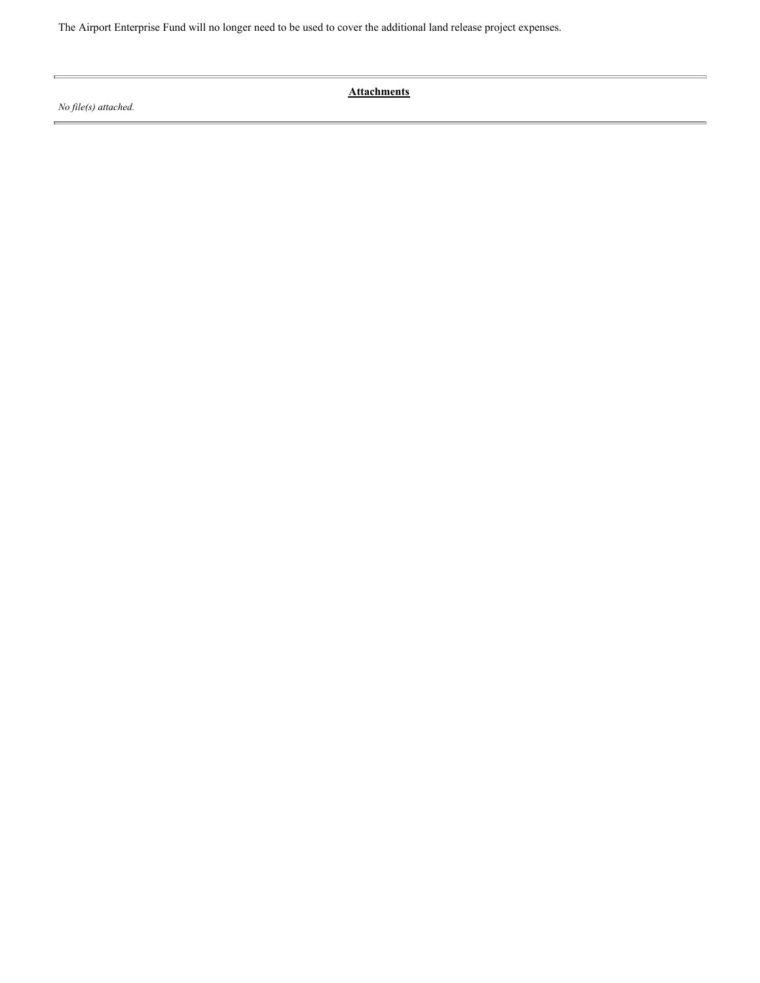The Airport Enterprise Fund will no longer need to be used to cover the additional land release project expenses.

*No file(s) attached.*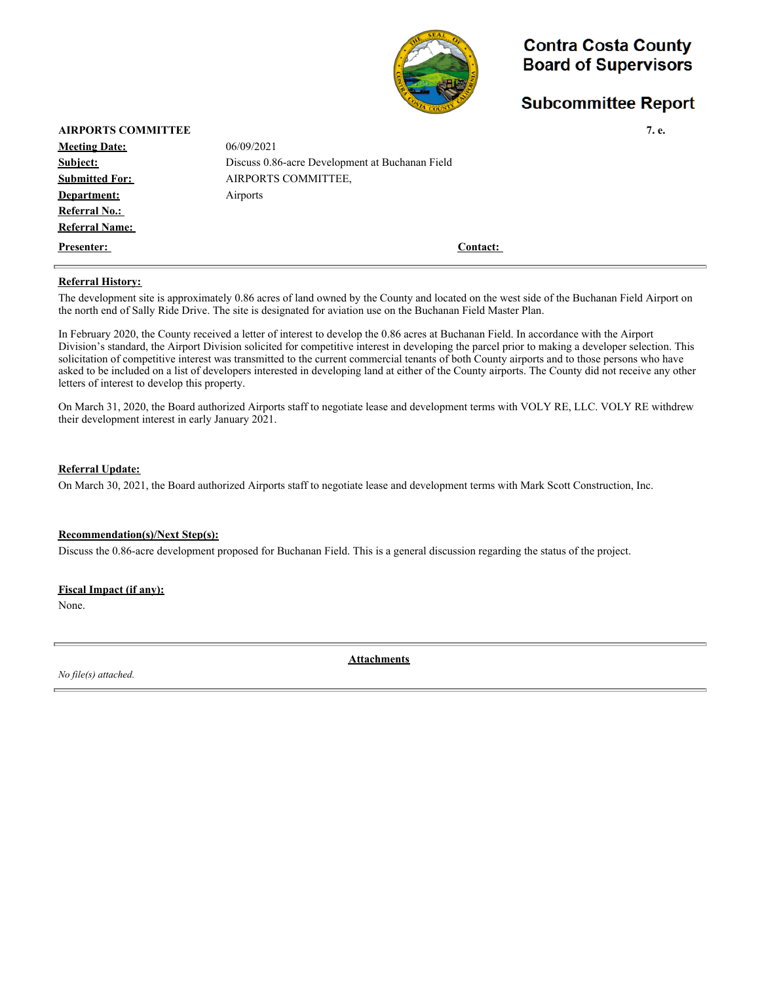

## **Subcommittee Report**

| <b>AIRPORTS COMMITTEE</b> |                                                 | 7. e. |
|---------------------------|-------------------------------------------------|-------|
| <b>Meeting Date:</b>      | 06/09/2021                                      |       |
| Subject:                  | Discuss 0.86-acre Development at Buchanan Field |       |
| <b>Submitted For:</b>     | AIRPORTS COMMITTEE.                             |       |
| Department:               | Airports                                        |       |
| <b>Referral No.:</b>      |                                                 |       |
| <b>Referral Name:</b>     |                                                 |       |
| <b>Presenter:</b>         | Contact:                                        |       |

#### **Referral History:**

The development site is approximately 0.86 acres of land owned by the County and located on the west side of the Buchanan Field Airport on the north end of Sally Ride Drive. The site is designated for aviation use on the Buchanan Field Master Plan.

In February 2020, the County received a letter of interest to develop the 0.86 acres at Buchanan Field. In accordance with the Airport Division's standard, the Airport Division solicited for competitive interest in developing the parcel prior to making a developer selection. This solicitation of competitive interest was transmitted to the current commercial tenants of both County airports and to those persons who have asked to be included on a list of developers interested in developing land at either of the County airports. The County did not receive any other letters of interest to develop this property.

On March 31, 2020, the Board authorized Airports staff to negotiate lease and development terms with VOLY RE, LLC. VOLY RE withdrew their development interest in early January 2021.

### **Referral Update:**

On March 30, 2021, the Board authorized Airports staff to negotiate lease and development terms with Mark Scott Construction, Inc.

#### **Recommendation(s)/Next Step(s):**

Discuss the 0.86-acre development proposed for Buchanan Field. This is a general discussion regarding the status of the project.

#### **Fiscal Impact (if any):**

None.

*No file(s) attached.*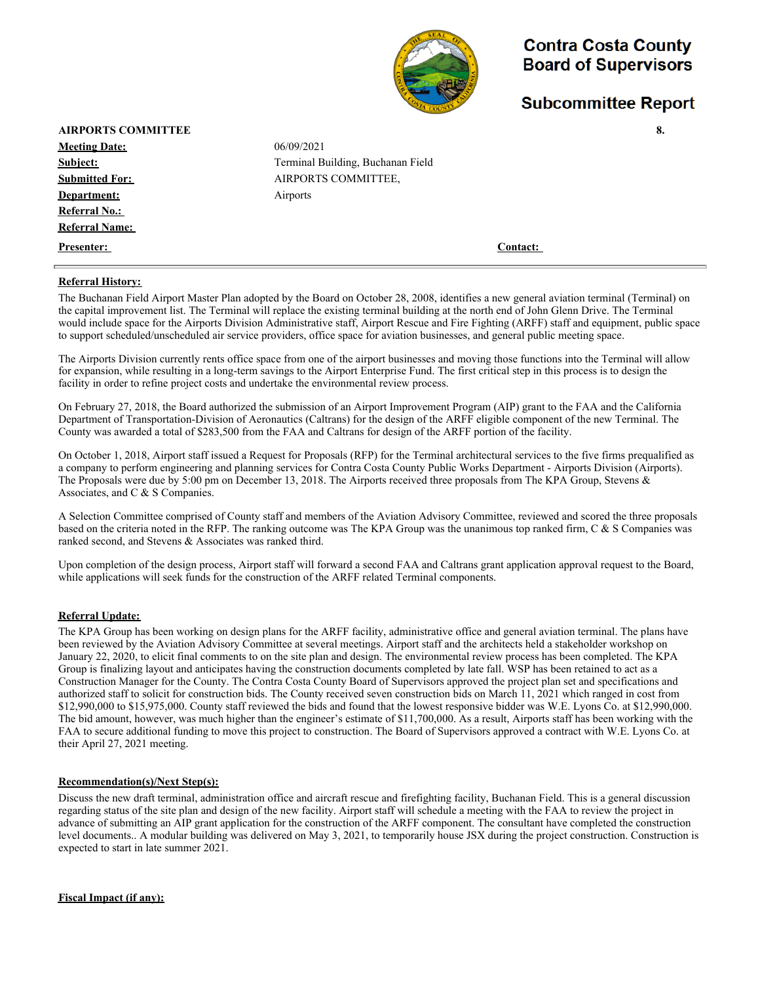

### **Subcommittee Report**

| <b>AIRPORTS COMMITTEE</b> |                                   | 8.       |
|---------------------------|-----------------------------------|----------|
| <b>Meeting Date:</b>      | 06/09/2021                        |          |
| Subject:                  | Terminal Building, Buchanan Field |          |
| <b>Submitted For:</b>     | AIRPORTS COMMITTEE,               |          |
| Department:               | Airports                          |          |
| <b>Referral No.:</b>      |                                   |          |
| <b>Referral Name:</b>     |                                   |          |
| <b>Presenter:</b>         |                                   | Contact: |

#### **Referral History:**

The Buchanan Field Airport Master Plan adopted by the Board on October 28, 2008, identifies a new general aviation terminal (Terminal) on the capital improvement list. The Terminal will replace the existing terminal building at the north end of John Glenn Drive. The Terminal would include space for the Airports Division Administrative staff, Airport Rescue and Fire Fighting (ARFF) staff and equipment, public space to support scheduled/unscheduled air service providers, office space for aviation businesses, and general public meeting space.

The Airports Division currently rents office space from one of the airport businesses and moving those functions into the Terminal will allow for expansion, while resulting in a long-term savings to the Airport Enterprise Fund. The first critical step in this process is to design the facility in order to refine project costs and undertake the environmental review process.

On February 27, 2018, the Board authorized the submission of an Airport Improvement Program (AIP) grant to the FAA and the California Department of Transportation-Division of Aeronautics (Caltrans) for the design of the ARFF eligible component of the new Terminal. The County was awarded a total of \$283,500 from the FAA and Caltrans for design of the ARFF portion of the facility.

On October 1, 2018, Airport staff issued a Request for Proposals (RFP) for the Terminal architectural services to the five firms prequalified as a company to perform engineering and planning services for Contra Costa County Public Works Department - Airports Division (Airports). The Proposals were due by 5:00 pm on December 13, 2018. The Airports received three proposals from The KPA Group, Stevens & Associates, and C & S Companies.

A Selection Committee comprised of County staff and members of the Aviation Advisory Committee, reviewed and scored the three proposals based on the criteria noted in the RFP. The ranking outcome was The KPA Group was the unanimous top ranked firm, C & S Companies was ranked second, and Stevens & Associates was ranked third.

Upon completion of the design process, Airport staff will forward a second FAA and Caltrans grant application approval request to the Board, while applications will seek funds for the construction of the ARFF related Terminal components.

#### **Referral Update:**

The KPA Group has been working on design plans for the ARFF facility, administrative office and general aviation terminal. The plans have been reviewed by the Aviation Advisory Committee at several meetings. Airport staff and the architects held a stakeholder workshop on January 22, 2020, to elicit final comments to on the site plan and design. The environmental review process has been completed. The KPA Group is finalizing layout and anticipates having the construction documents completed by late fall. WSP has been retained to act as a Construction Manager for the County. The Contra Costa County Board of Supervisors approved the project plan set and specifications and authorized staff to solicit for construction bids. The County received seven construction bids on March 11, 2021 which ranged in cost from \$12,990,000 to \$15,975,000. County staff reviewed the bids and found that the lowest responsive bidder was W.E. Lyons Co. at \$12,990,000. The bid amount, however, was much higher than the engineer's estimate of \$11,700,000. As a result, Airports staff has been working with the FAA to secure additional funding to move this project to construction. The Board of Supervisors approved a contract with W.E. Lyons Co. at their April 27, 2021 meeting.

#### **Recommendation(s)/Next Step(s):**

Discuss the new draft terminal, administration office and aircraft rescue and firefighting facility, Buchanan Field. This is a general discussion regarding status of the site plan and design of the new facility. Airport staff will schedule a meeting with the FAA to review the project in advance of submitting an AIP grant application for the construction of the ARFF component. The consultant have completed the construction level documents.. A modular building was delivered on May 3, 2021, to temporarily house JSX during the project construction. Construction is expected to start in late summer 2021.

**Fiscal Impact (if any):**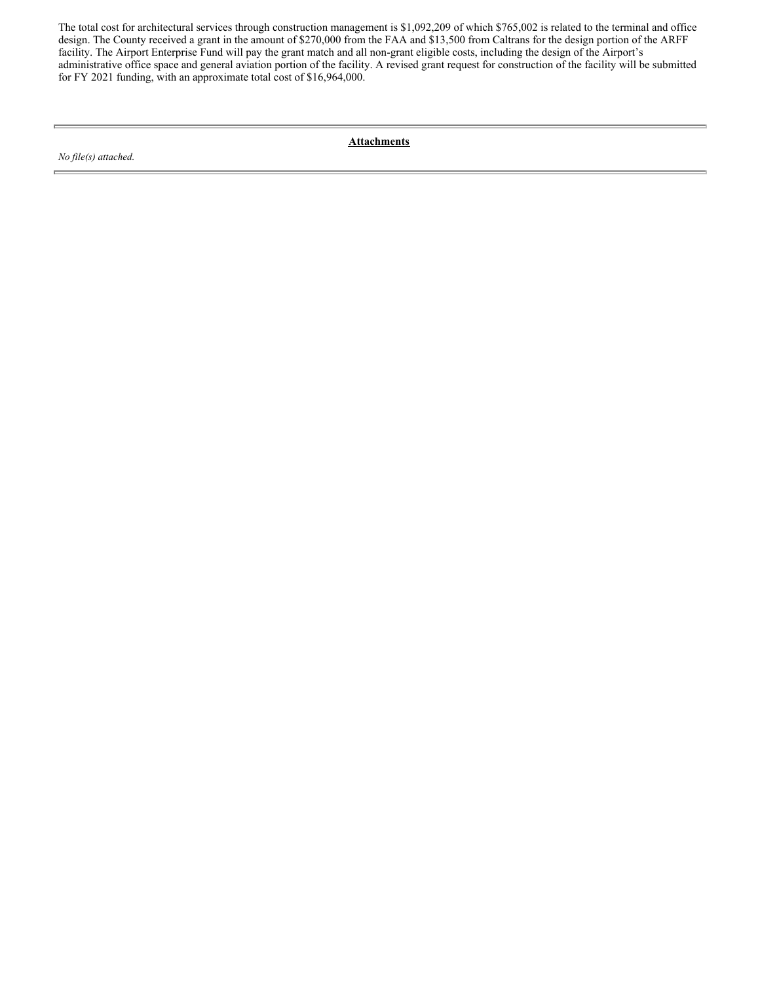The total cost for architectural services through construction management is \$1,092,209 of which \$765,002 is related to the terminal and office design. The County received a grant in the amount of \$270,000 from the FAA and \$13,500 from Caltrans for the design portion of the ARFF facility. The Airport Enterprise Fund will pay the grant match and all non-grant eligible costs, including the design of the Airport's administrative office space and general aviation portion of the facility. A revised grant request for construction of the facility will be submitted for FY 2021 funding, with an approximate total cost of \$16,964,000.

*No file(s) attached.*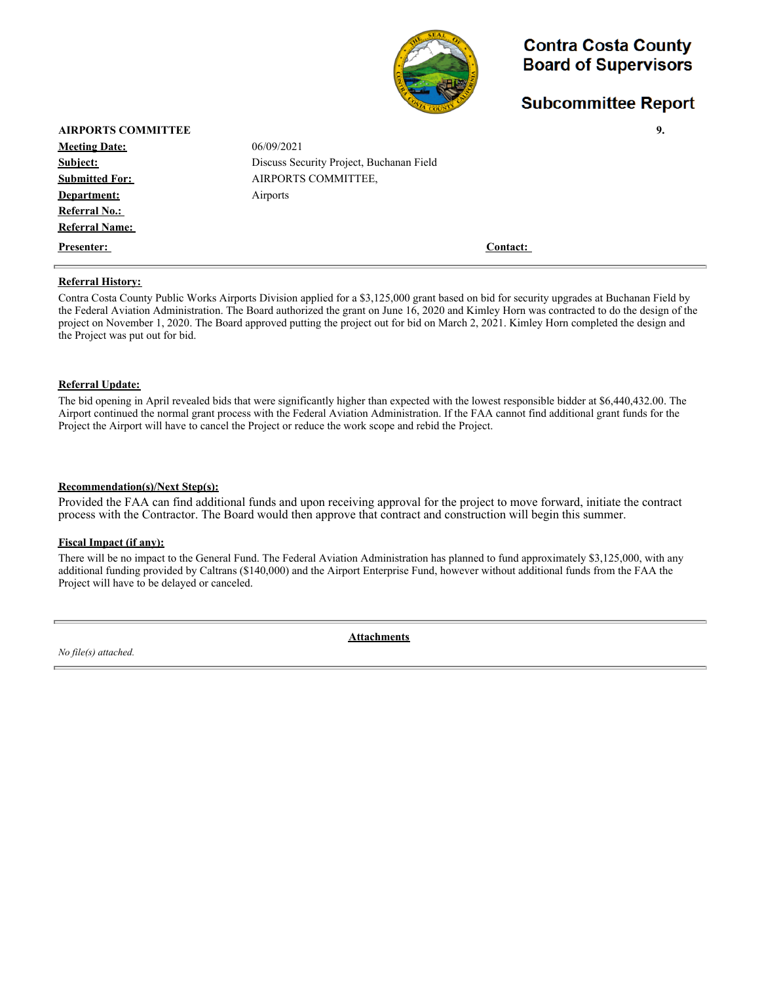

### **Subcommittee Report**

| <b>AIRPORTS COMMITTEE</b> |                                                                                                                                            | 9. |
|---------------------------|--------------------------------------------------------------------------------------------------------------------------------------------|----|
| <b>Meeting Date:</b>      | 06/09/2021                                                                                                                                 |    |
| Subject:                  | Discuss Security Project, Buchanan Field                                                                                                   |    |
| <b>Submitted For:</b>     | AIRPORTS COMMITTEE,                                                                                                                        |    |
| Department:               | Airports                                                                                                                                   |    |
| <b>Referral No.:</b>      |                                                                                                                                            |    |
| <b>Referral Name:</b>     |                                                                                                                                            |    |
| Presenter:                | Contact:                                                                                                                                   |    |
| <b>Referral History:</b>  |                                                                                                                                            |    |
|                           | Contra Costa County Public Works Airports Division applied for a \$3,125,000 grant based on bid for security upgrades at Buchanan Field by |    |

the Federal Aviation Administration. The Board authorized the grant on June 16, 2020 and Kimley Horn was contracted to do the design of the project on November 1, 2020. The Board approved putting the project out for bid on March 2, 2021. Kimley Horn completed the design and the Project was put out for bid.

#### **Referral Update:**

 $\equiv$ 

The bid opening in April revealed bids that were significantly higher than expected with the lowest responsible bidder at \$6,440,432.00. The Airport continued the normal grant process with the Federal Aviation Administration. If the FAA cannot find additional grant funds for the Project the Airport will have to cancel the Project or reduce the work scope and rebid the Project.

#### **Recommendation(s)/Next Step(s):**

Provided the FAA can find additional funds and upon receiving approval for the project to move forward, initiate the contract process with the Contractor. The Board would then approve that contract and construction will begin this summer.

#### **Fiscal Impact (if any):**

There will be no impact to the General Fund. The Federal Aviation Administration has planned to fund approximately \$3,125,000, with any additional funding provided by Caltrans (\$140,000) and the Airport Enterprise Fund, however without additional funds from the FAA the Project will have to be delayed or canceled.

*No file(s) attached.*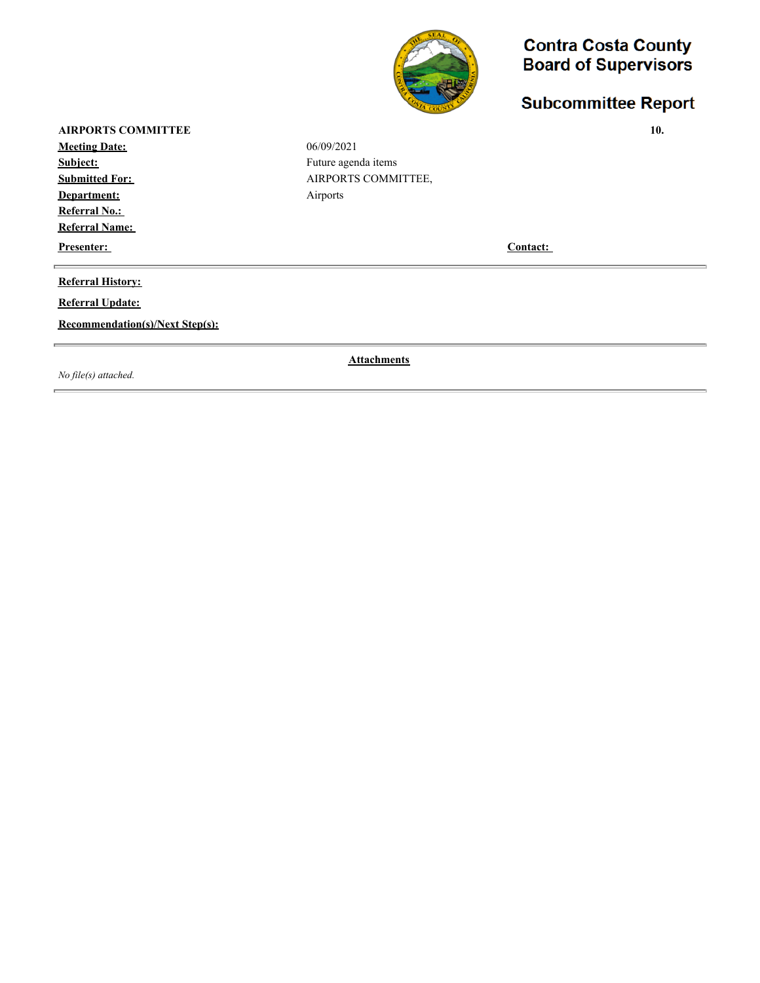

# **Subcommittee Report**

**AIRPORTS COMMITTEE** 10.

**Meeting Date:** 06/09/2021 **Subject:** Future agenda items **Submitted For: AIRPORTS COMMITTEE, Department:** Airports **Referral No.: Referral Name:** 

**Presenter:** Contact:

### **Referral History:**

**Referral Update:**

**Recommendation(s)/Next Step(s):**

*No file(s) attached.*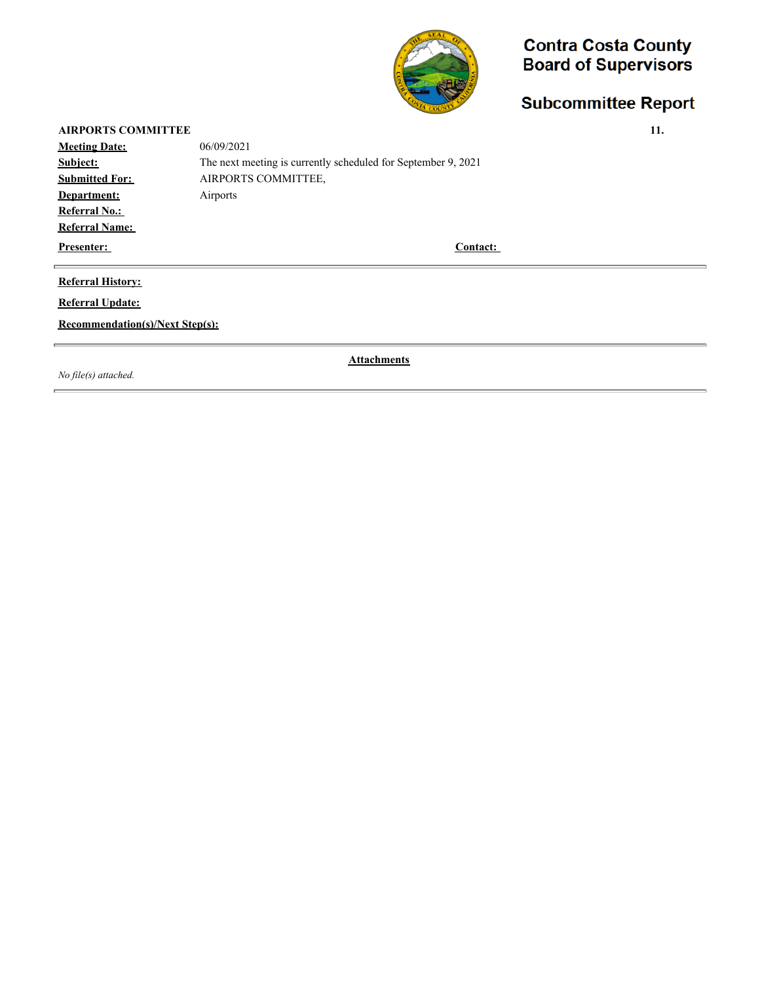

# **Subcommittee Report**

| <b>AIRPORTS COMMITTEE</b> |                                                               | 11. |
|---------------------------|---------------------------------------------------------------|-----|
| <b>Meeting Date:</b>      | 06/09/2021                                                    |     |
| Subject:                  | The next meeting is currently scheduled for September 9, 2021 |     |
| <b>Submitted For:</b>     | AIRPORTS COMMITTEE,                                           |     |
| Department:               | Airports                                                      |     |
| <b>Referral No.:</b>      |                                                               |     |
| <b>Referral Name:</b>     |                                                               |     |
| <b>Presenter:</b>         | Contact:                                                      |     |
|                           |                                                               |     |

### **Referral History:**

**Referral Update:**

**Recommendation(s)/Next Step(s):**

*No file(s) attached.*

r.